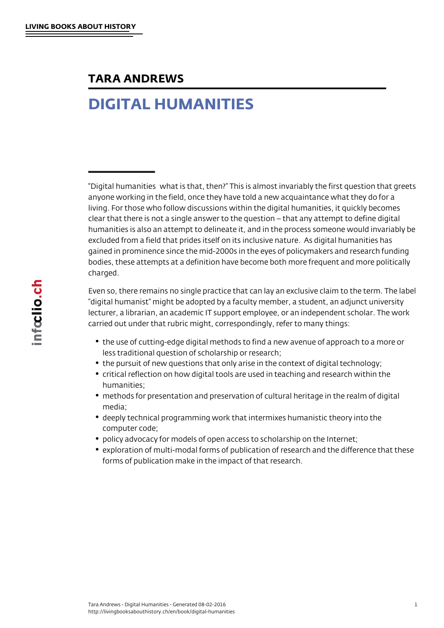## TARA ANDREWS

## DIGITAL HUMANITIES

"Digital humanities…what is that, then?" This is almost invariably the first question that greets anyone working in the field, once they have told a new acquaintance what they do for a living. For those who follow discussions within the digital humanities, it quickly becomes clear that there is not a single answer to the question – that any attempt to define digital humanities is also an attempt to delineate it, and in the process someone would invariably be excluded from a field that prides itself on its inclusive nature. As digital humanities has gained in prominence since the mid-2000s in the eyes of policymakers and research funding bodies, these attempts at a definition have become both more frequent and more politically charged.

Even so, there remains no single practice that can lay an exclusive claim to the term. The label "digital humanist" might be adopted by a faculty member, a student, an adjunct university lecturer, a librarian, an academic IT support employee, or an independent scholar. The work carried out under that rubric might, correspondingly, refer to many things:

- the use of cutting-edge digital methods to find a new avenue of approach to a more or less traditional question of scholarship or research;
- the pursuit of new questions that only arise in the context of digital technology;
- critical reflection on how digital tools are used in teaching and research within the humanities;
- methods for presentation and preservation of cultural heritage in the realm of digital media;
- deeply technical programming work that intermixes humanistic theory into the computer code;
- policy advocacy for models of open access to scholarship on the Internet;
- exploration of multi-modal forms of publication of research and the difference that these forms of publication make in the impact of that research.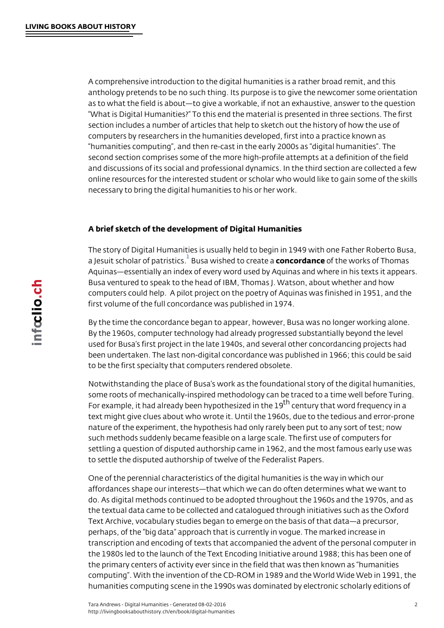<span id="page-1-0"></span>A comprehensive introduction to the digital humanities is a rather be anthology pretends to be no such thing. Its purpose is to give the  $n \epsilon$ as to what the field is about to give a workable, if not an exhaustive What is Digital Humanities? To this end the material is presented in section includes a number of articles that help to sketch out the his computers by researchers in the humanities developed, first into a p humanities computing, and then re-cast in the early 2000s as digi second section comprises some of the more high-profile attempts at and discussions of its social and professional dynamics. In the third online resources for the interested student or scholar who would like necessary to bring the digital humanities to his or her work.

A brief sketch of the development of Digital Humanities

The story of Digital Humanities is usually held to begin in 1949 with a Jesuit scholar of  $B$ autsrais wicsshed to ccorne a ded anoth the works of Thomas Aquinas essentially an index of every word used by Aquinas and whe Busa ventured to speak to the head of IBM, Thomas J. Watson, abou comput[e](#page-5-0)rs could help. A pilot project on the poetry of Aquinas was first volume of the full concordance was published in 1974.

By the time the concordance began to appear, however, Busa was no By the 1960s, computer technology had already progressed substant used for Busa s first project in the late 1940s, and several other co been undertaken. The last non-digital concordance was published in to be the first specialty that computers rendered obsolete.

Notwithstanding the place of Busa s work as the foundational story of some roots of mechanically-inspired methodology can be traced to a For example, it had already been hy $\frac{1}{2}$  the ensing of the interprequency in text might give clues about who wrote it. Until the 1960s, due to the nature of the experiment, the hypothesis had only rarely been put to such methods suddenly became feasible on a large scale. The first  $u$ settling a question of disputed authorship came in 1962, and the mo to settle the disputed authorship of twelve of the Federalist Papers.

One of the perennial characteristics of the digital humanities is the affordances shape our interests that which we can do often determin do. As digital methods continued to be adopted throughout the 1960s the textual data came to be collected and catalogued through initiat Text Archive, vocabulary studies began to emerge on the basis of th perhaps, of the big data approach that is currently in vogue. The n transcription and encoding of texts that accompanied the advent of t the 1980s led to the launch of the Text Encoding Initiative around 1 the primary centers of activity ever since in the field that was then computing. With the invention of the CD-ROM in 1989 and the World humanities computing scene in the 1990s was dominated by electron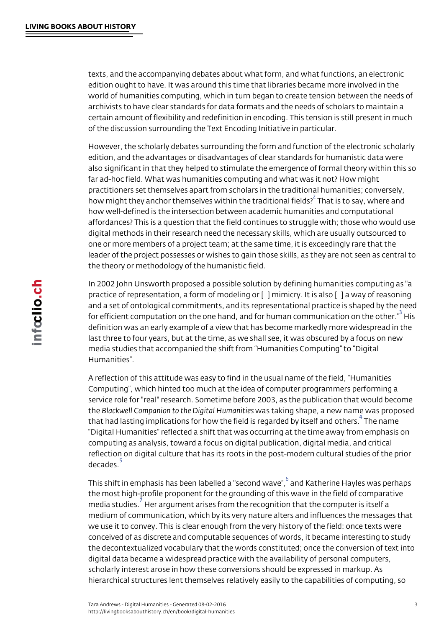<span id="page-2-0"></span>texts, and the accompanying debates about what form, and what fune edition ought to have. It was around this time that libraries became world of humanities computing, which in turn began to create tension archivists to have clear standards for data formats and the needs of certain amount of flexibility and redefinition in encoding. This tensi of the discussion surrounding the Text Encoding Initiative in particu

However, the scholarly debates surrounding the form and function of edition, and the advantages or disadvantages of clear standards for also significant in that they helped to stimulate the emergence of fo far ad-hoc field. What was humanities computing and what was it no practitioners set themselves apart from scholars in the traditional h how might they anchor themselves within  $\hat{f}$ hTehtartaidsittonsaalyfiewlbleffe and how well-defined is the intersection between academic humanities and affordances? This is a question that the field continues to struggle digital m[e](#page-5-0)thods in their research need the necessary skills, which a one or more members of a project team; at the same time, it is exce leader of the project possesses or wishes to gain those skills, as th the theory or methodology of the humanistic field.

In 2002 John Unsworth proposed a possible solution by defining hum practice of representation, a form of modeling or [&] mimicry. It is a and a set of ontological commitments, and its representational pract for efficient computation on the one hand, and for human  $\stackrel{3}{\text{c}}$  this munication definition was an early example of a view that has become markedly last three to four years, but at the time, as we shall see, it was obs media [s](#page-5-0)tudies that accompanied the shift from Humanities Computin Humanities .

A reflection of this attitude was easy to find in the usual name of th Computing, which hinted too much at the idea of computer programr service role for "real" research. Sometime before 2003, as the publi the Blackwell Companion to the Dwigistatla <del>kl</del>ion on as sami alipees, a new name was p that had lasting implications for how the field is regTahrelenda howe itself and  $\frac{4}{10}$ Digital Humanities reflected a shift that was occurring at the time computing as analysis, toward a focus on digital publication, digital reflection on digital culture t[h](#page-5-0)at has its roots in the post-modern cu  $decad\frac{5}{e}s$ .

This shift in emphasis has been labelled da K"  $\alpha$  the ewhaveles was perhaps in the  $\alpha$ the m[o](#page-5-0)st high-profile proponent for the grounding of this wave in the media studies. argument arises from the recognition that the comput med[i](#page-5-0)um of communication, which by its very nature alters and influe we use it to convey. This is clear enough from the very history of the conceive[d](#page-5-0) of as discrete and computable sequences of words, it bec the decontextualized vocabulary that the words constituted; once the digital data became a widespread practice with the availability of pe scholarly interest arose in how these conversions should be express hierarchical structures lent themselves relatively easily to the capal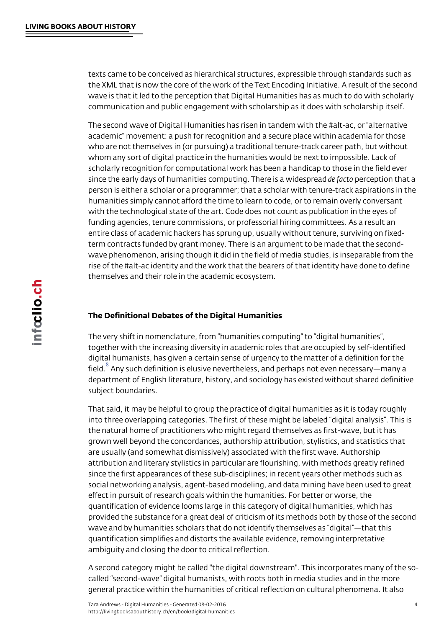<span id="page-3-0"></span>texts came to be conceived as hierarchical structures, expressible t the XML that is now the core of the work of the Text Encoding Initia wave is that it led to the perception that Digital Humanities has as a communication and public engagement with scholarship as it does wi

The second wave of Digital Humanities has risen in tandem with the academic movement: a push for recognition and a secure place with who are not themselves in (or pursuing) a traditional tenure-track ca whom any sort of digital practice in the humanities would be next to scholarly recognition for computational work has been a handicap to since the early days of humanities computing.deTfree opteoricse pativoirdethante and person is either a scholar or a programmer; that a scholar with tenu humanities simply cannot afford the time to learn to code, or to rem with the technological state of the art. Code does not count as publi funding agencies, tenure commissions, or professorial hiring commit entire class of academic hackers has sprung up, usually without ten term contracts funded by grant money. There is an argument to be m wave phenomenon, arising though it did in the field of media studies rise of the #alt-ac identity and the work that the bearers of that ide themselves and their role in the academic ecosystem.

## The Definitional Debates of the Digital Humanities

The very shift in nomenclature, from humanities computing to digi together with the increasing diversity in academic roles that are occ digital humanists, has given a certain sense of urgency to the matte  $fieI<sup>8</sup>$  Any such definition is elusive nevertheless, and perhaps not even department of English literature, history, and sociology has existed subject boundaries.

That said, it may be helpful to group the practice of digital humaniti into three overlapping categories. The first of these might be labele the natural home of practitioners who might regard themselves as fil grown well beyond the concordances, authorship attribution, stylisti are usually (and somewhat dismissively) associated with the first wa attribution and literary stylistics in particular are flourishing, with r since the first appearances of these sub-disciplines; in recent years social networking analysis, agent-based modeling, and data mining  $\mathsf h$ effect in pursuit of research goals within the humanities. For better quantification of evidence looms large in this category of digital hur provided the substance for a great deal of criticism of its methods b wave and by humanities scholars that do not identify themselves as quantification simplifies and distorts the available evidence, removi ambiguity and closing the door to critical reflection.

A second category might be called "the digital downstream". This ine called second-wave digital humanists, with roots both in media stu general practice within the humanities of critical reflection on cultu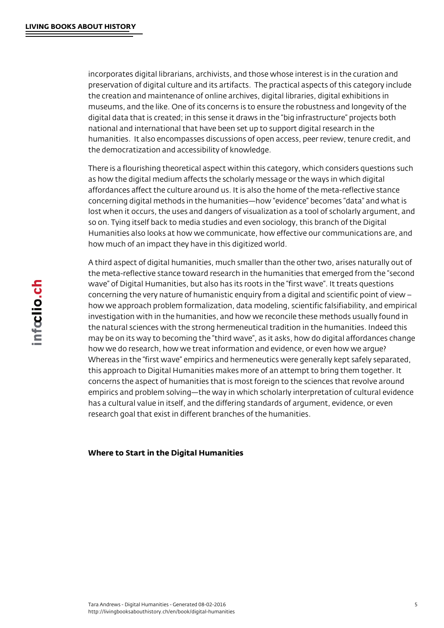incorporates digital librarians, archivists, and those whose interest is in the curation and preservation of digital culture and its artifacts. The practical aspects of this category include the creation and maintenance of online archives, digital libraries, digital exhibitions in museums, and the like. One of its concerns is to ensure the robustness and longevity of the digital data that is created; in this sense it draws in the "big infrastructure" projects both national and international that have been set up to support digital research in the humanities. It also encompasses discussions of open access, peer review, tenure credit, and the democratization and accessibility of knowledge.

There is a flourishing theoretical aspect within this category, which considers questions such as how the digital medium affects the scholarly message or the ways in which digital affordances affect the culture around us. It is also the home of the meta-reflective stance concerning digital methods in the humanities—how "evidence" becomes "data" and what is lost when it occurs, the uses and dangers of visualization as a tool of scholarly argument, and so on. Tying itself back to media studies and even sociology, this branch of the Digital Humanities also looks at how we communicate, how effective our communications are, and how much of an impact they have in this digitized world.

A third aspect of digital humanities, much smaller than the other two, arises naturally out of the meta-reflective stance toward research in the humanities that emerged from the "second wave" of Digital Humanities, but also has its roots in the "first wave". It treats questions concerning the very nature of humanistic enquiry from a digital and scientific point of view – how we approach problem formalization, data modeling, scientific falsifiability, and empirical investigation with in the humanities, and how we reconcile these methods usually found in the natural sciences with the strong hermeneutical tradition in the humanities. Indeed this may be on its way to becoming the "third wave", as it asks, how do digital affordances change how we do research, how we treat information and evidence, or even how we argue? Whereas in the "first wave" empirics and hermeneutics were generally kept safely separated, this approach to Digital Humanities makes more of an attempt to bring them together. It concerns the aspect of humanities that is most foreign to the sciences that revolve around empirics and problem solving—the way in which scholarly interpretation of cultural evidence has a cultural value in itself, and the differing standards of argument, evidence, or even research goal that exist in different branches of the humanities.

## Where to Start in the Digital Humanities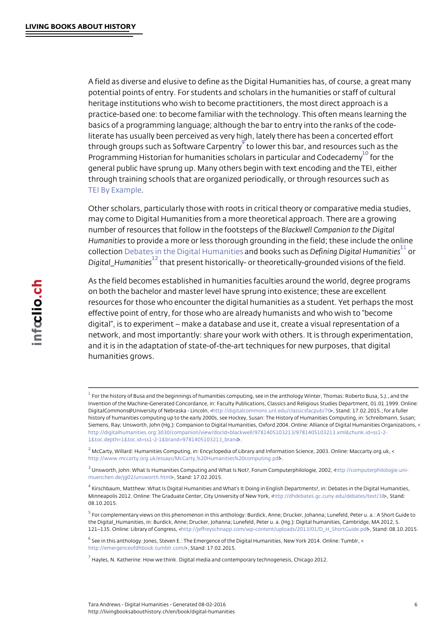<span id="page-5-0"></span>A field as diverse and elusive to define as the Digital Humanities ha potential points of entry. For students and scholars in the humanitie heritage institutions who wish to become practitioners, the most dire practice-based one: to become familiar with the technology. This oft basics of a programming language; although the bar to entry into the literate has usually been perceived as very high, lately there has be through groups such as Softwabel Cuaepet mitisy bar, and resources such Programming Historian for humanities scholars in  $p^{\frac{10}{a}}$  of the and Codecalemy  $f$ general public have sprung up. Many others begin with text encoding [t](#page-6-0)hrough training schools that are organized periodically, or through TEI By Example

Other scholars, particularly those with roots in critical theory or com may come to Digital Humanities from a more theoretical approach. T [number of](http://livingbooksabouthistory.ch/en/book/digital-humanities#chapter-3-2) resources that follow in the afoot out the foot than to the Digital Companion to the Digital Companio Humanities provide a more or less thorough grounding in the field; the collect Dombates in the Digital Handh abroid kess sube himaisn g Digital  $\overline{H}^1$ umanities Digital\_Hum<sup>12</sup><sub>ntil</sub> hat present historically- or theoretically-grounded visi

As the field becomes established in humanities faculties [ar](#page-6-0)ound the on bot[h the](http://livingbooksabouthistory.ch/en/book/digital-humanities#chapter-2-2) [bachelor and mas](http://livingbooksabouthistory.ch/en/book/digital-humanities#chapter-2-2)ter level have sprung into existence; the resources for those who encounter the digital humanities as a stude effective point of entry, for those who are already humanists and wh digital, is to experiment make a database and use it, create a vis network, and most importantly: share your work with others. It is thr and it is in the adaptation of state-of-the-art techniques for new pur humanities grows.

 $^{\rm 1}$  For the history of Busa and the beginnings of humanities computing, see in the anthology Winter, Th Invention of the Machine-Generated Concordance, in: Faculty Publications, Classics and Religious St DigitalCommons@University of Nebratska/digitandochm; meons.unl.edu/classStatanad::ptb7/02.2015.; for a fuller history of humanities computing up to the early 2000s, see Hockey, Susan: The History of Humanities Siemens, Ray; Unsworth, John (Hg.): Companion to Digital Humanities, Oxford 2004. Online: Alliance [h](#page-1-0)ttp://digitalhumanities.org:3030/companion/view?docId=blackwell/9781405103213/9781405103213.xm  $1\&\, \, \texttt{toc.deph18to} \texttt{toc.id=ss1-2-1&\, \texttt{brand=978\#405103213\_brand}$ 

 $^2$  McCarty, Willard: Humanities Co[mputing, in: Encyclopedia of Libr](http://digitalcommons.unl.edu/classicsfacpub/70)ary and Information Science, 2003. http://www.mccarty.org.uk/essays/McCarty,%20Humanities%20computing.pdf >.

 $^3$  Unsworth, John: What Is Humanities Computing and What Is Not?, Froenpuring Communiteen pointilicolloggies.,u 2002,  $m$ uenchen.de/jg02/unsw $\infty$ , rt $\mathsf{S}$ t. ant ch: 17.02.2015.

 $^4$  $^4$  Kirschbaum, Matthew: What Is Digital Humanities and What s It Doing in English Departments?, in: I [Minneapolis 2012. Online: The Graduate Center, City](http://www.mccarty.org.uk/essays/McCarty, Humanities computing.pdf) the Drive direct New Yourke cku/d» b Staan dext/38 [0](#page-2-0)8.10.2015.

 $^5$  [For complementary vi](http://computerphilologie.uni-muenchen.de/jg02/unsworth.html)ews on this phenomenon in this anthology: Burdick, Anne; Drucker, Johanna; L [t](#page-2-0)he Digital\_Humanities, in: Burdick, Anne; Drucker, Johanna; Lunefeld, Peter u. a. (Hg.): Digital hum 121 135. Online: Library of the Congress of the Standard promission of Wp-content/uploads/2013/21/Stands D& the U2005. Sp.df

 $^6$  See in this anthology: Jones, Steven E.: The Emergence of the Digital Humanities, New York 2014. O [h](#page-2-0)ttp://emergenceofdhbook.tumstandam1/7.02.2015.

 $^7$  Hayles, N. Katherine: How we think. Digital media and contemporary technogenesis, Chicago 2012.